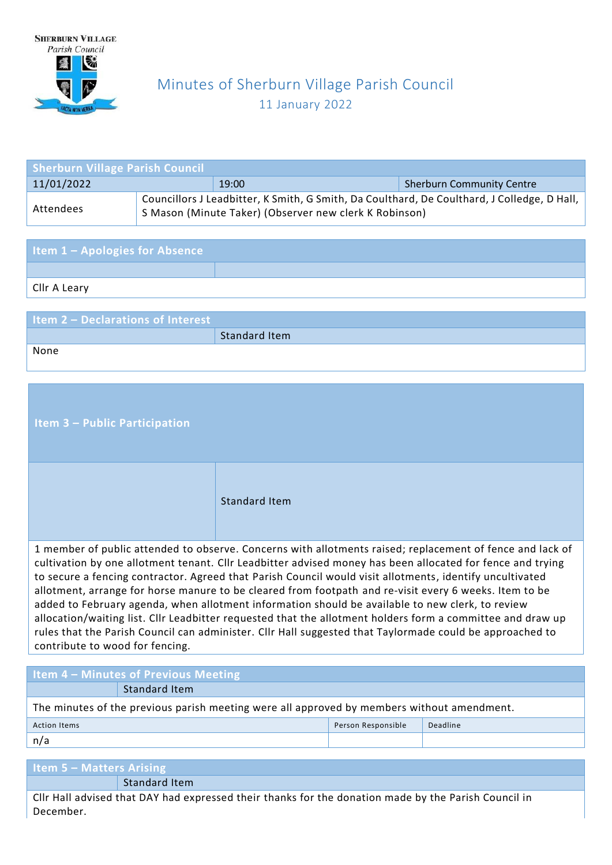

## Minutes of Sherburn Village Parish Council 11 January 2022

| <b>Sherburn Village Parish Council</b> |                                                                                                                                                       |       |                                  |  |
|----------------------------------------|-------------------------------------------------------------------------------------------------------------------------------------------------------|-------|----------------------------------|--|
| 11/01/2022                             |                                                                                                                                                       | 19:00 | <b>Sherburn Community Centre</b> |  |
| Attendees                              | Councillors J Leadbitter, K Smith, G Smith, Da Coulthard, De Coulthard, J Colledge, D Hall,<br>S Mason (Minute Taker) (Observer new clerk K Robinson) |       |                                  |  |

| <b>Item 1 - Apologies for Absence</b> |  |
|---------------------------------------|--|
|                                       |  |
| Cllr A Leary                          |  |

| <b>Item 2 - Declarations of Interest</b> |               |
|------------------------------------------|---------------|
|                                          | Standard Item |
| None                                     |               |

| <b>Item 3 – Public Participation</b>                                                                                                                                                                                                                                                                                                                                                                                                                                  |                      |  |
|-----------------------------------------------------------------------------------------------------------------------------------------------------------------------------------------------------------------------------------------------------------------------------------------------------------------------------------------------------------------------------------------------------------------------------------------------------------------------|----------------------|--|
|                                                                                                                                                                                                                                                                                                                                                                                                                                                                       | <b>Standard Item</b> |  |
| 1 member of public attended to observe. Concerns with allotments raised; replacement of fence and lack of<br>cultivation by one allotment tenant. Cllr Leadbitter advised money has been allocated for fence and trying<br>to secure a fencing contractor. Agreed that Parish Council would visit allotments, identify uncultivated<br>$\mathbf{u}$ , and $\mathbf{v}$ , and $\mathbf{v}$ , and $\mathbf{v}$ , and $\mathbf{v}$ , and $\mathbf{v}$ , and $\mathbf{v}$ |                      |  |

allotment, arrange for horse manure to be cleared from footpath and re-visit every 6 weeks. Item to be added to February agenda, when allotment information should be available to new clerk, to review allocation/waiting list. Cllr Leadbitter requested that the allotment holders form a committee and draw up rules that the Parish Council can administer. Cllr Hall suggested that Taylormade could be approached to contribute to wood for fencing.

| <b>Item 4 - Minutes of Previous Meeting</b>                                                |                                |  |  |  |
|--------------------------------------------------------------------------------------------|--------------------------------|--|--|--|
|                                                                                            | Standard Item                  |  |  |  |
| The minutes of the previous parish meeting were all approved by members without amendment. |                                |  |  |  |
| <b>Action Items</b>                                                                        | Deadline<br>Person Responsible |  |  |  |
| n/a                                                                                        |                                |  |  |  |
|                                                                                            |                                |  |  |  |
| Item $5 -$ Matters Arising                                                                 |                                |  |  |  |
|                                                                                            | Standard Item                  |  |  |  |

Cllr Hall advised that DAY had expressed their thanks for the donation made by the Parish Council in December.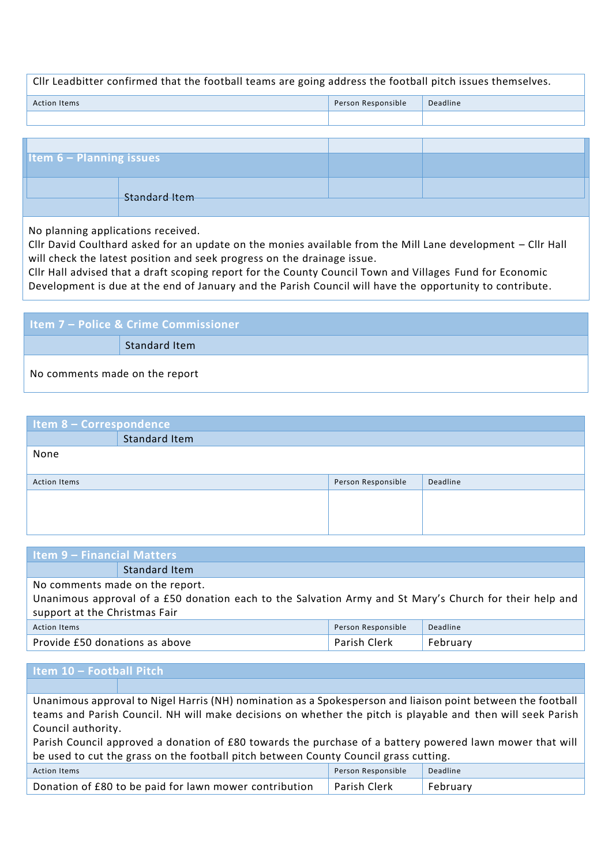## Cllr Leadbitter confirmed that the football teams are going address the football pitch issues themselves.

| Action Items | Person Responsible | Deadline |
|--------------|--------------------|----------|
|              |                    |          |

| <b>Item 6 - Planning issues</b> |  |
|---------------------------------|--|
|                                 |  |
|                                 |  |
| Standard Item                   |  |

No planning applications received.

Cllr David Coulthard asked for an update on the monies available from the Mill Lane development – Cllr Hall will check the latest position and seek progress on the drainage issue.

Cllr Hall advised that a draft scoping report for the County Council Town and Villages Fund for Economic Development is due at the end of January and the Parish Council will have the opportunity to contribute.

| <b>Item 7 – Police &amp; Crime Commissioner</b> |               |  |
|-------------------------------------------------|---------------|--|
|                                                 | Standard Item |  |
| No comments made on the report                  |               |  |

| Item 8 - Correspondence |                      |                    |          |  |
|-------------------------|----------------------|--------------------|----------|--|
|                         | <b>Standard Item</b> |                    |          |  |
| None                    |                      |                    |          |  |
|                         |                      |                    |          |  |
| <b>Action Items</b>     |                      | Person Responsible | Deadline |  |
|                         |                      |                    |          |  |
|                         |                      |                    |          |  |
|                         |                      |                    |          |  |

| Item 9 - Financial Matters                                                                              |               |  |  |
|---------------------------------------------------------------------------------------------------------|---------------|--|--|
|                                                                                                         | Standard Item |  |  |
| No comments made on the report.                                                                         |               |  |  |
| Unanimous approval of a £50 donation each to the Salvation Army and St Mary's Church for their help and |               |  |  |
| support at the Christmas Fair                                                                           |               |  |  |
| Deadline<br>Person Responsible<br><b>Action Items</b>                                                   |               |  |  |
| Parish Clerk<br>Provide £50 donations as above<br>February                                              |               |  |  |
|                                                                                                         |               |  |  |

| Item 10 - Football Pitch                                                                                    |  |  |  |
|-------------------------------------------------------------------------------------------------------------|--|--|--|
|                                                                                                             |  |  |  |
| Unanimous approval to Nigel Harris (NH) nomination as a Spokesperson and liaison point between the football |  |  |  |
| teams and Parish Council. NH will make decisions on whether the pitch is playable and then will seek Parish |  |  |  |
| Council authority.                                                                                          |  |  |  |
| Parish Council approved a donation of £80 towards the purchase of a battery powered lawn mower that will    |  |  |  |
| be used to cut the grass on the football pitch between County Council grass cutting.                        |  |  |  |

| Action Items                                           | Person Responsible  | Deadline |
|--------------------------------------------------------|---------------------|----------|
| Donation of £80 to be paid for lawn mower contribution | <b>Parish Clerk</b> | February |